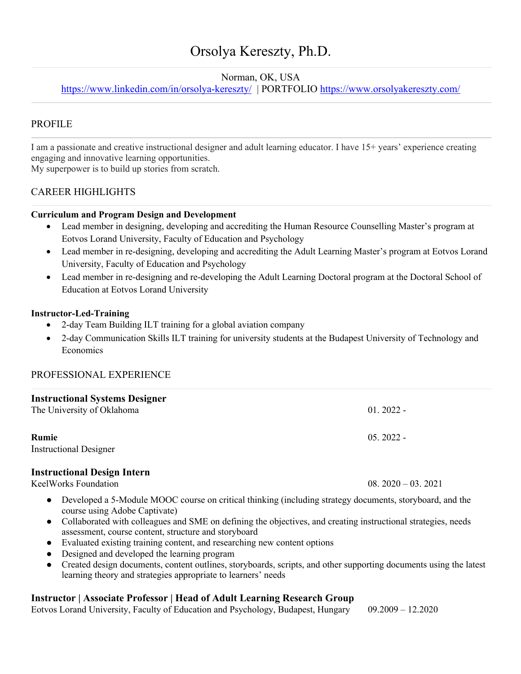# Orsolya Kereszty, Ph.D.

## Norman, OK, USA

https://www.linkedin.com/in/orsolya-kereszty/ | PORTFOLIO https://www.orsolyakereszty.com/

# PROFILE

I am a passionate and creative instructional designer and adult learning educator. I have 15+ years' experience creating engaging and innovative learning opportunities.

My superpower is to build up stories from scratch.

# CAREER HIGHLIGHTS

#### **Curriculum and Program Design and Development**

- Lead member in designing, developing and accrediting the Human Resource Counselling Master's program at Eotvos Lorand University, Faculty of Education and Psychology
- Lead member in re-designing, developing and accrediting the Adult Learning Master's program at Eotvos Lorand University, Faculty of Education and Psychology
- Lead member in re-designing and re-developing the Adult Learning Doctoral program at the Doctoral School of Education at Eotvos Lorand University

#### **Instructor-Led-Training**

- 2-day Team Building ILT training for a global aviation company
- 2-day Communication Skills ILT training for university students at the Budapest University of Technology and **Economics**

#### PROFESSIONAL EXPERIENCE

| <b>Instructional Systems Designer</b><br>The University of Oklahoma | $01.2022 -$ |
|---------------------------------------------------------------------|-------------|
| Rumie<br><b>Instructional Designer</b>                              | $05.2022 -$ |

#### **Instructional Design Intern**

KeelWorks Foundation 08. 2020 – 03. 2021

- Developed a 5-Module MOOC course on critical thinking (including strategy documents, storyboard, and the course using Adobe Captivate)
- Collaborated with colleagues and SME on defining the objectives, and creating instructional strategies, needs assessment, course content, structure and storyboard
- Evaluated existing training content, and researching new content options
- Designed and developed the learning program
- Created design documents, content outlines, storyboards, scripts, and other supporting documents using the latest learning theory and strategies appropriate to learners' needs

# **Instructor | Associate Professor | Head of Adult Learning Research Group**

Eotvos Lorand University, Faculty of Education and Psychology, Budapest, Hungary 09.2009 – 12.2020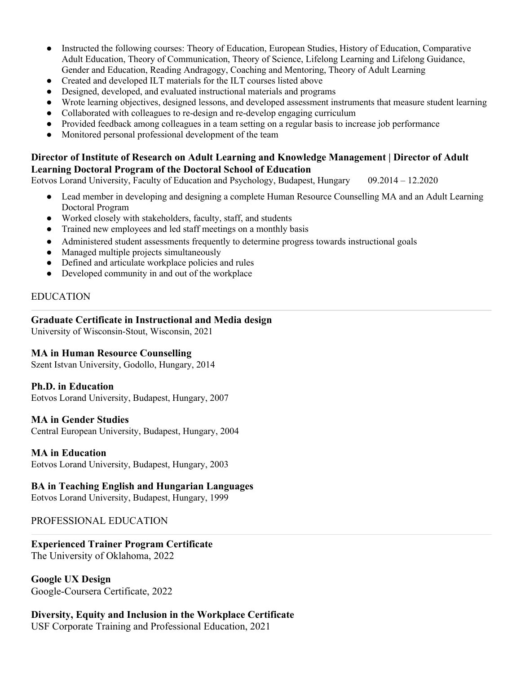- Instructed the following courses: Theory of Education, European Studies, History of Education, Comparative Adult Education, Theory of Communication, Theory of Science, Lifelong Learning and Lifelong Guidance, Gender and Education, Reading Andragogy, Coaching and Mentoring, Theory of Adult Learning
- Created and developed ILT materials for the ILT courses listed above
- Designed, developed, and evaluated instructional materials and programs
- Wrote learning objectives, designed lessons, and developed assessment instruments that measure student learning
- Collaborated with colleagues to re-design and re-develop engaging curriculum
- Provided feedback among colleagues in a team setting on a regular basis to increase job performance
- Monitored personal professional development of the team

### **Director of Institute of Research on Adult Learning and Knowledge Management | Director of Adult Learning Doctoral Program of the Doctoral School of Education**

Eotvos Lorand University, Faculty of Education and Psychology, Budapest, Hungary 09.2014 – 12.2020

- Lead member in developing and designing a complete Human Resource Counselling MA and an Adult Learning Doctoral Program
- Worked closely with stakeholders, faculty, staff, and students
- Trained new employees and led staff meetings on a monthly basis
- Administered student assessments frequently to determine progress towards instructional goals
- Managed multiple projects simultaneously
- Defined and articulate workplace policies and rules
- Developed community in and out of the workplace

### EDUCATION

#### **Graduate Certificate in Instructional and Media design**

University of Wisconsin-Stout, Wisconsin, 2021

#### **MA in Human Resource Counselling**

Szent Istvan University, Godollo, Hungary, 2014

#### **Ph.D. in Education**

Eotvos Lorand University, Budapest, Hungary, 2007

#### **MA in Gender Studies**

Central European University, Budapest, Hungary, 2004

#### **MA in Education**

Eotvos Lorand University, Budapest, Hungary, 2003

#### **BA in Teaching English and Hungarian Languages**

Eotvos Lorand University, Budapest, Hungary, 1999

#### PROFESSIONAL EDUCATION

# **Experienced Trainer Program Certificate**

The University of Oklahoma, 2022

**Google UX Design** Google-Coursera Certificate, 2022

# **Diversity, Equity and Inclusion in the Workplace Certificate**

USF Corporate Training and Professional Education, 2021